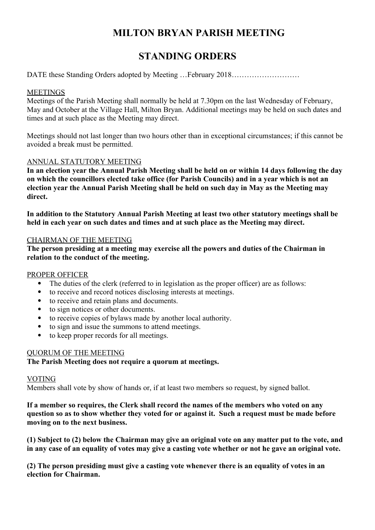# **MILTON BRYAN PARISH MEETING**

## **STANDING ORDERS**

DATE these Standing Orders adopted by Meeting …February 2018………………………………………………………

#### MEETINGS

Meetings of the Parish Meeting shall normally be held at 7.30pm on the last Wednesday of February, May and October at the Village Hall, Milton Bryan. Additional meetings may be held on such dates and times and at such place as the Meeting may direct.

Meetings should not last longer than two hours other than in exceptional circumstances; if this cannot be avoided a break must be permitted.

#### ANNUAL STATUTORY MEETING

**In an election year the Annual Parish Meeting shall be held on or within 14 days following the day on which the councillors elected take office (for Parish Councils) and in a year which is not an election year the Annual Parish Meeting shall be held on such day in May as the Meeting may direct.**

**In addition to the Statutory Annual Parish Meeting at least two other statutory meetings shall be held in each year on such dates and times and at such place as the Meeting may direct.**

#### CHAIRMAN OF THE MEETING

**The person presiding at a meeting may exercise all the powers and duties of the Chairman in relation to the conduct of the meeting.**

#### PROPER OFFICER

- The duties of the clerk (referred to in legislation as the proper officer) are as follows:
- to receive and record notices disclosing interests at meetings.<br>• to receive and retain plans and documents.
- to receive and retain plans and documents.
- to sign notices or other documents.
- to receive copies of bylaws made by another local authority.
- to sign and issue the summons to attend meetings.
- to keep proper records for all meetings.

#### QUORUM OF THE MEETING

#### **The Parish Meeting does not require a quorum at meetings.**

#### VOTING

Members shall vote by show of hands or, if at least two members so request, by signed ballot.

**If a member so requires, the Clerk shall record the names of the members who voted on any question so as to show whether they voted for or against it. Such a request must be made before moving on to the next business.**

**(1) Subject to (2) below the Chairman may give an original vote on any matter put to the vote, and in any case of an equality of votes may give a casting vote whether or not he gave an original vote.**

**(2) The person presiding must give a casting vote whenever there is an equality of votes in an election for Chairman.**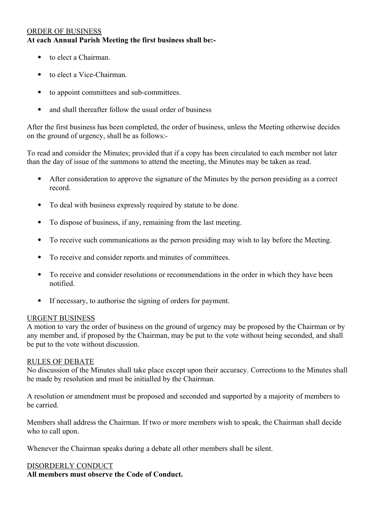## ORDER OF BUSINESS **At each Annual Parish Meeting the first business shall be:-**

- to elect a Chairman.
- to elect a Vice-Chairman.
- to appoint committees and sub-committees.
- and shall thereafter follow the usual order of business

After the first business has been completed, the order of business, unless the Meeting otherwise decides on the ground of urgency, shall be as follows:-

To read and consider the Minutes; provided that if a copy has been circulated to each member not later than the day of issue of the summons to attend the meeting, the Minutes may be taken as read.

- After consideration to approve the signature of the Minutes by the person presiding as a correct record.
- To deal with business expressly required by statute to be done.
- To dispose of business, if any, remaining from the last meeting.
- To receive such communications as the person presiding may wish to lay before the Meeting.
- To receive and consider reports and minutes of committees.
- To receive and consider resolutions or recommendations in the order in which they have been notified.
- If necessary, to authorise the signing of orders for payment.

#### URGENT BUSINESS

A motion to vary the order of business on the ground of urgency may be proposed by the Chairman or by any member and, if proposed by the Chairman, may be put to the vote without being seconded, and shall be put to the vote without discussion.

#### RULES OF DEBATE

No discussion of the Minutes shall take place except upon their accuracy. Corrections to the Minutes shall be made by resolution and must be initialled by the Chairman.

A resolution or amendment must be proposed and seconded and supported by a majority of members to be carried.

Members shall address the Chairman. If two or more members wish to speak, the Chairman shall decide who to call upon.

Whenever the Chairman speaks during a debate all other members shall be silent.

#### DISORDERLY CONDUCT

**All members must observe the Code of Conduct.**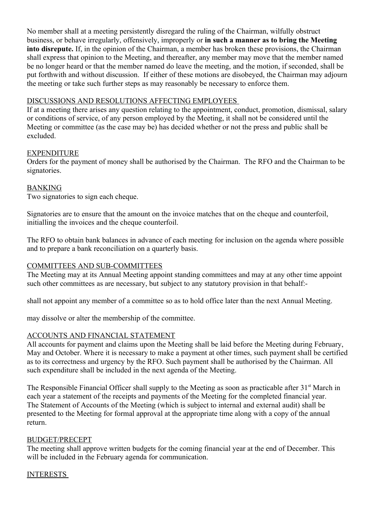No member shall at a meeting persistently disregard the ruling of the Chairman, wilfully obstruct business, or behave irregularly, offensively, improperly or **in such a manner as to bring the Meeting into disrepute.** If, in the opinion of the Chairman, a member has broken these provisions, the Chairman shall express that opinion to the Meeting, and thereafter, any member may move that the member named be no longer heard or that the member named do leave the meeting, and the motion, if seconded, shall be put forthwith and without discussion. If either of these motions are disobeyed, the Chairman may adjourn the meeting or take such further steps as may reasonably be necessary to enforce them.

## DISCUSSIONS AND RESOLUTIONS AFFECTING EMPLOYEES

If at a meeting there arises any question relating to the appointment, conduct, promotion, dismissal, salary or conditions of service, of any person employed by the Meeting, it shall not be considered until the Meeting or committee (as the case may be) has decided whether or not the press and public shall be excluded.

## EXPENDITURE

Orders for the payment of money shall be authorised by the Chairman. The RFO and the Chairman to be signatories.

## BANKING

Two signatories to sign each cheque.

Signatories are to ensure that the amount on the invoice matches that on the cheque and counterfoil, initialling the invoices and the cheque counterfoil.

The RFO to obtain bank balances in advance of each meeting for inclusion on the agenda where possible and to prepare a bank reconciliation on a quarterly basis.

## COMMITTEES AND SUB-COMMITTEES

The Meeting may at its Annual Meeting appoint standing committees and may at any other time appoint such other committees as are necessary, but subject to any statutory provision in that behalf:-

shall not appoint any member of a committee so as to hold office later than the next Annual Meeting.

may dissolve or alter the membership of the committee.

## ACCOUNTS AND FINANCIAL STATEMENT

All accounts for payment and claims upon the Meeting shall be laid before the Meeting during February, May and October. Where it is necessary to make a payment at other times, such payment shall be certified as to its correctness and urgency by the RFO. Such payment shall be authorised by the Chairman. All such expenditure shall be included in the next agenda of the Meeting.

The Responsible Financial Officer shall supply to the Meeting as soon as practicable after 31<sup>st</sup> March in each year a statement of the receipts and payments of the Meeting for the completed financial year. The Statement of Accounts of the Meeting (which is subject to internal and external audit) shall be presented to the Meeting for formal approval at the appropriate time along with a copy of the annual return.

## BUDGET/PRECEPT

The meeting shall approve written budgets for the coming financial year at the end of December. This will be included in the February agenda for communication.

## INTERESTS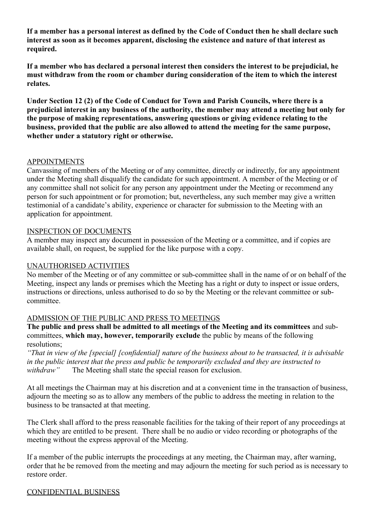**If a member has a personal interest as defined by the Code of Conduct then he shall declare such interest as soon as it becomes apparent, disclosing the existence and nature of that interest as required.**

**If a member who has declared a personal interest then considers the interest to be prejudicial, he must withdraw from the room or chamber during consideration of the item to which the interest relates.**

**Under Section 12 (2) of the Code of Conduct for Town and Parish Councils, where there is a prejudicial interest in any business of the authority, the member may attend a meeting but only for the purpose of making representations, answering questions or giving evidence relating to the business, provided that the public are also allowed to attend the meeting for the same purpose, whether under a statutory right or otherwise.**

#### APPOINTMENTS

Canvassing of members of the Meeting or of any committee, directly or indirectly, for any appointment under the Meeting shall disqualify the candidate for such appointment. A member of the Meeting or of any committee shall not solicit for any person any appointment under the Meeting or recommend any person for such appointment or for promotion; but, nevertheless, any such member may give a written testimonial of a candidate's ability, experience or character for submission to the Meeting with an application for appointment.

#### INSPECTION OF DOCUMENTS

A member may inspect any document in possession of the Meeting or a committee, and if copies are available shall, on request, be supplied for the like purpose with a copy.

#### UNAUTHORISED ACTIVITIES

No member of the Meeting or of any committee or sub-committee shall in the name of or on behalf of the Meeting, inspect any lands or premises which the Meeting has a right or duty to inspect or issue orders, instructions or directions, unless authorised to do so by the Meeting or the relevant committee or subcommittee.

#### ADMISSION OF THE PUBLIC AND PRESS TO MEETINGS

**The public and press shall be admitted to all meetings of the Meeting and its committees** and subcommittees, **which may, however, temporarily exclude** the public by means of the following resolutions;

*"That in view of the [special] [confidential] nature of the business about to be transacted, it is advisable in the public interest that the press and public be temporarily excluded and they are instructed to withdraw"* The Meeting shall state the special reason for exclusion.

At all meetings the Chairman may at his discretion and at a convenient time in the transaction of business, adjourn the meeting so as to allow any members of the public to address the meeting in relation to the business to be transacted at that meeting.

The Clerk shall afford to the press reasonable facilities for the taking of their report of any proceedings at which they are entitled to be present. There shall be no audio or video recording or photographs of the meeting without the express approval of the Meeting.

If a member of the public interrupts the proceedings at any meeting, the Chairman may, after warning, order that he be removed from the meeting and may adjourn the meeting for such period as is necessary to restore order.

## CONFIDENTIAL BUSINESS